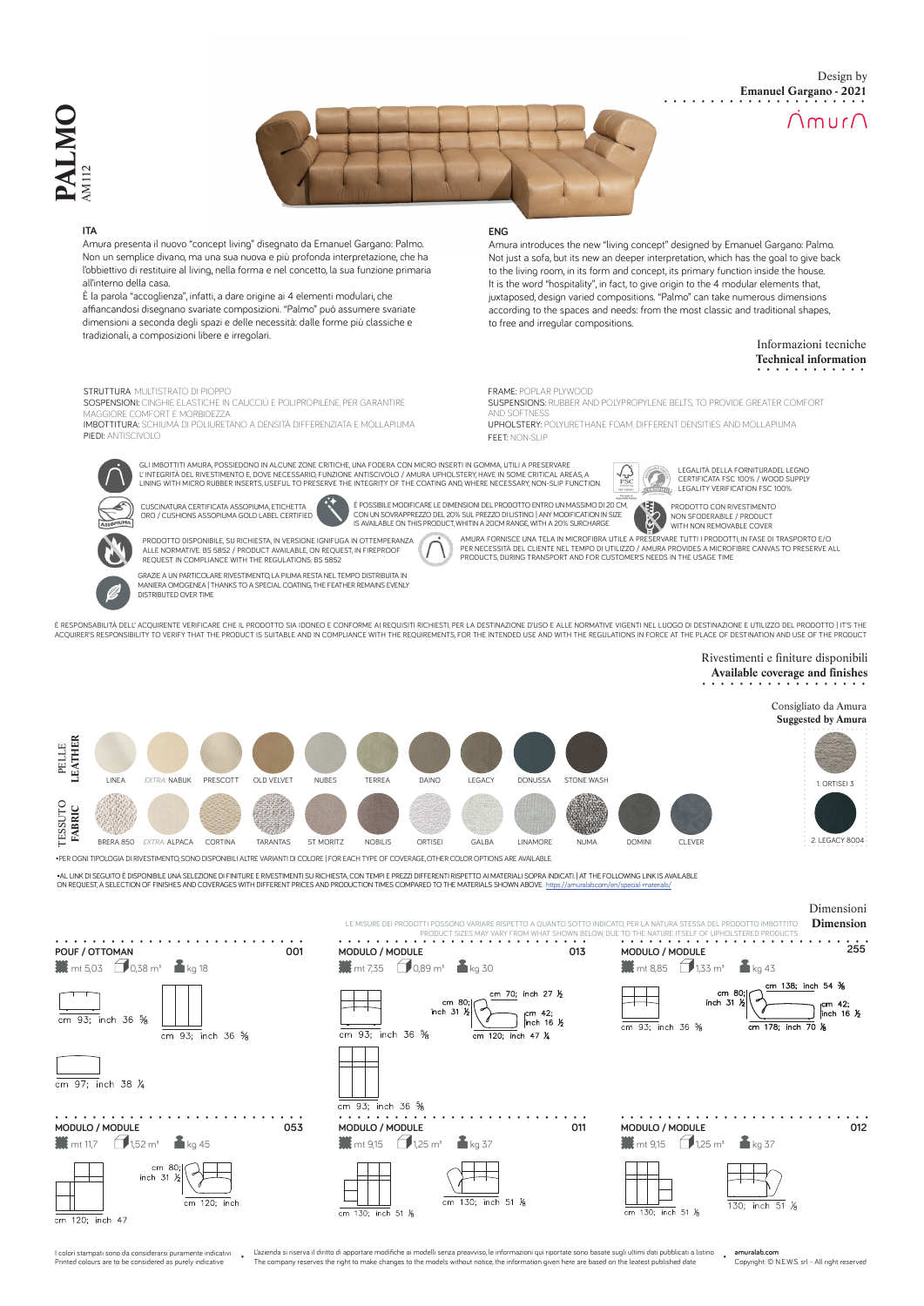



## **ITA**

Amura presenta il nuovo "concept living" disegnato da Emanuel Gargano: Palmo. Non un semplice divano, ma una sua nuova e più profonda interpretazione, che ha l'obbiettivo di restituire al living, nella forma e nel concetto, la sua funzione primaria all'interno della casa.

È la parola "accoglienza", infatti, a dare origine ai 4 elementi modulari, che affiancandosi disegnano svariate composizioni. "Palmo" può assumere svariate dimensioni a seconda degli spazi e delle necessità: dalle forme più classiche e tradizionali, a composizioni libere e irregolari.

DISTRIBUTED OVER TIME

STRUTTURA: MULTISTRATO DI PIOPPO SOSPENSIONI: CINGHIE ELASTICHE IN CAUCCIÙ E POLIPROPILENE, PER GARANTIRE MAGGIORE COMFORT E MORBIDEZZA IMBOTTITURA: SCHIUMA DI POLIURETANO A DENSITÀ DIFFERENZIATA E MOLLAPIUMA

### **ENG**

Amura introduces the new "living concept" designed by Emanuel Gargano: Palmo. Not just a sofa, but its new an deeper interpretation, which has the goal to give back to the living room, in its form and concept, its primary function inside the house. It is the word "hospitality", in fact, to give origin to the 4 modular elements that, juxtaposed, design varied compositions. "Palmo" can take numerous dimensions according to the spaces and needs: from the most classic and traditional shapes, to free and irregular compositions.

## Informazioni tecniche **Technical information**

Design by

 $\bigcap$ mur $\bigcap$ 

**Emanuel Gargano - 2021**

FRAME: POPLAR PLYWOOD

SUSPENSIONS: RUBBER AND POLYPROPYLENE BELTS, TO PROVIDE GREATER COMFORT AND SOFTNESS<br>**UPHOLSTERY:** POLYURETHANE FOAM, DIFFERENT DENSITIES AND MOLLAPIUMA FEET: NON-SLIP

GLI IMBOTTITI AMURA, POSSIEDONO IN ALCUNE ZONE CRITICHE, UNA FODERA CON MICRO INSERTI IN GOMMA, UTILI A PRESERVARE L' INTEGRITÀ DEL RIVESTIMENTO E, DOVE NECESSARIO, FUNZIONE ANTISCIVOLO / AMURA UPHOLSTERY, HAVE IN SOME CRITICAL AREAS, A<br>LINING WITH MICRO RUBBER INSERTS, USEFUL TO PRESERVE THE INTEGRITY OF THE COATING AND, WHERE NECESSA



PIEDI: ANTISCIVOLO

CUSCINATURA CERTIFICATA ASSOPIUMA, ETICHETTA ORO / CUSHIONS ASSOPIUMA GOLD LABEL CERTIFIED



È POSSIBILE MODIFICARE LE DIMENSIONI DEL PRODOTTO ENTRO UN MASSIMO DI 20 CM,<br>CON UN SOVRAPPREZZO DEL 20% SUL PREZZO DI LISTINO | ANY MODIFICATION IN SIZE<br>IS AVAILABLE ON THIS PRODUCT, WHITIN A 20CM RANGE, WITH A 20% SURCHA

E NON SFODERABILE / PRODUCT WITH NON REMOVABLE COVERAMURA FORNISCE UNA TELA IN MICROFIBRA UTILE A PRESERVARE TUTTI I PRODOTTI, IN FASE DI TRASPORTO E/O<br>PER NECESSITÀ DEL CLIENTE NEL TEMPO DI UTILIZZO / AMURA PROVIDES A MICROFIBRE CANVAS TO PRESERVE ALL<br>PRODUCTS, DURING TRAN



GRAZIE A UN PARTICOLARE RIVESTIMENTO, LA PIUMA RESTA NEL TEMPO DISTRIBUITA IN MANIERA OMOGENEA | THANKS TO A SPECIAL COATING, THE FEATHER REMAINS EVENLY ALLE NORMATIVE: BS 5852 / PRODUCT AVAILABLE, ON REQUEST, IN FIREPROOF REQUEST IN COMPLIANCE WITH THE REGULATIONS: BS 5852

 $\sqrt{3}$ 

È DESPONSABILITÀ DELL' ACQUIRENTE VERIFICARE CHE IL RRODOTTO SIA IDONEO E CONFORME AI REQUISITI RICHIESTI, RED LA DESTINAZIONE D'USO E ALLE NORMATIVE VIGENTI NEL LUOGO DI DESTINAZIONE E UTILIZZO DEL RRODOTTO | IT'S THE ACQUIRER'S RESPONSIBILITY TO VERIFY THAT THE PRODUCT IS SUITABLE AND IN COMPLIANCE WITH THE REQUIREMENTS, FOR THE INTENDED USE AND WITH THE REGULATIONS IN FORCE AT THE PLACE OF DESTINATION AND USE OF THE PRODUCT

# Rivestimenti e finiture disponibili **Available coverage and finishes**

LEGALITÀ DELLA FORNITURADEL LEGNO CERTIFICATA FSC 100% / WOOD SUPPLY LEGALITY VERIFICATION FSC 100%

PRODOTTO CON RIVESTIMENTO



I stampati sono da considerarsi pura ed colours are to be considered as purely indicative

 $\overline{\text{cm} 120}$ ; inch 47

L'azienda si riserva il diritto di apportare modifiche ai modelli senza preavviso, le informazioni qui riportate sono basate sugli ultimi dati pubblicati a listino di transmente di pubblicati a listino di company reserves

**amuralab.com** Copyright: © N.E.W.S. srl - All right reserved